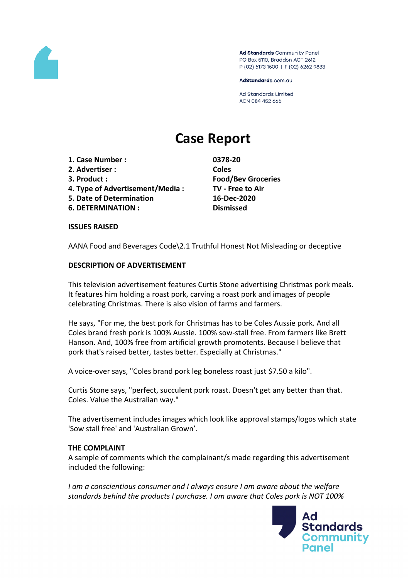

Ad Standards Community Panel PO Box 5110, Braddon ACT 2612 P (02) 6173 1500 | F (02) 6262 9833

AdStandards.com.au

**Ad Standards Limited** ACN 084 452 666

# **Case Report**

- **1. Case Number : 0378-20**
- **2. Advertiser : Coles**
- 
- **4. Type of Advertisement/Media : TV - Free to Air**
- **5. Date of Determination 16-Dec-2020**
- **6. DETERMINATION : Dismissed**

**3. Product : Food/Bev Groceries**

#### **ISSUES RAISED**

AANA Food and Beverages Code\2.1 Truthful Honest Not Misleading or deceptive

## **DESCRIPTION OF ADVERTISEMENT**

This television advertisement features Curtis Stone advertising Christmas pork meals. It features him holding a roast pork, carving a roast pork and images of people celebrating Christmas. There is also vision of farms and farmers.

He says, "For me, the best pork for Christmas has to be Coles Aussie pork. And all Coles brand fresh pork is 100% Aussie. 100% sow-stall free. From farmers like Brett Hanson. And, 100% free from artificial growth promotents. Because I believe that pork that's raised better, tastes better. Especially at Christmas."

A voice-over says, "Coles brand pork leg boneless roast just \$7.50 a kilo".

Curtis Stone says, "perfect, succulent pork roast. Doesn't get any better than that. Coles. Value the Australian way."

The advertisement includes images which look like approval stamps/logos which state 'Sow stall free' and 'Australian Grown'.

## **THE COMPLAINT**

A sample of comments which the complainant/s made regarding this advertisement included the following:

*I am a conscientious consumer and I always ensure I am aware about the welfare standards behind the products I purchase. I am aware that Coles pork is NOT 100%*

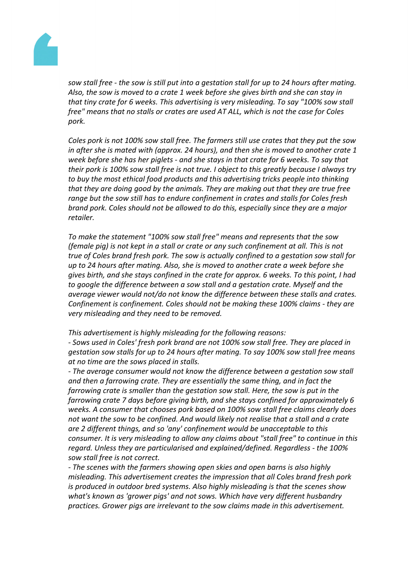

sow stall free - the sow is still put into a gestation stall for up to 24 hours after mating. *Also, the sow is moved to a crate 1 week before she gives birth and she can stay in that tiny crate for 6 weeks. This advertising is very misleading. To say "100% sow stall free" means that no stalls or crates are used AT ALL, which is not the case for Coles pork.*

*Coles pork is not 100% sow stall free. The farmers still use crates that they put the sow in after she is mated with (approx. 24 hours), and then she is moved to another crate 1 week before she has her piglets - and she stays in that crate for 6 weeks. To say that* their pork is 100% sow stall free is not true. I object to this greatly because I always try *to buy the most ethical food products and this advertising tricks people into thinking that they are doing good by the animals. They are making out that they are true free range but the sow still has to endure confinement in crates and stalls for Coles fresh brand pork. Coles should not be allowed to do this, especially since they are a major retailer.*

*To make the statement "100% sow stall free" means and represents that the sow (female pig) is not kept in a stall or crate or any such confinement at all. This is not true of Coles brand fresh pork. The sow is actually confined to a gestation sow stall for up to 24 hours after mating. Also, she is moved to another crate a week before she gives birth, and she stays confined in the crate for approx. 6 weeks. To this point, I had to google the difference between a sow stall and a gestation crate. Myself and the average viewer would not/do not know the difference between these stalls and crates. Confinement is confinement. Coles should not be making these 100% claims - they are very misleading and they need to be removed.*

*This advertisement is highly misleading for the following reasons:*

*- Sows used in Coles' fresh pork brand are not 100% sow stall free. They are placed in gestation sow stalls for up to 24 hours after mating. To say 100% sow stall free means at no time are the sows placed in stalls.*

*- The average consumer would not know the difference between a gestation sow stall and then a farrowing crate. They are essentially the same thing, and in fact the farrowing crate is smaller than the gestation sow stall. Here, the sow is put in the farrowing crate 7 days before giving birth, and she stays confined for approximately 6 weeks. A consumer that chooses pork based on 100% sow stall free claims clearly does not want the sow to be confined. And would likely not realise that a stall and a crate are 2 different things, and so 'any' confinement would be unacceptable to this consumer. It is very misleading to allow any claims about "stall free" to continue in this regard. Unless they are particularised and explained/defined. Regardless - the 100% sow stall free is not correct.*

*- The scenes with the farmers showing open skies and open barns is also highly misleading. This advertisement creates the impression that all Coles brand fresh pork is produced in outdoor bred systems. Also highly misleading is that the scenes show what's known as 'grower pigs' and not sows. Which have very different husbandry practices. Grower pigs are irrelevant to the sow claims made in this advertisement.*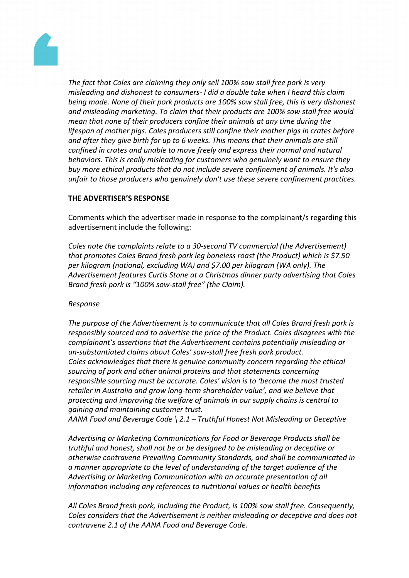

*The fact that Coles are claiming they only sell 100% sow stall free pork is very misleading and dishonest to consumers- I did a double take when I heard this claim being made. None of their pork products are 100% sow stall free, this is very dishonest and misleading marketing. To claim that their products are 100% sow stall free would mean that none of their producers confine their animals at any time during the lifespan of mother pigs. Coles producers still confine their mother pigs in crates before and after they give birth for up to 6 weeks. This means that their animals are still confined in crates and unable to move freely and express their normal and natural behaviors. This is really misleading for customers who genuinely want to ensure they buy more ethical products that do not include severe confinement of animals. It's also unfair to those producers who genuinely don't use these severe confinement practices.*

## **THE ADVERTISER'S RESPONSE**

Comments which the advertiser made in response to the complainant/s regarding this advertisement include the following:

*Coles note the complaints relate to a 30-second TV commercial (the Advertisement) that promotes Coles Brand fresh pork leg boneless roast (the Product) which is \$7.50 per kilogram (national, excluding WA) and \$7.00 per kilogram (WA only). The Advertisement features Curtis Stone at a Christmas dinner party advertising that Coles Brand fresh pork is "100% sow-stall free" (the Claim).*

## *Response*

*The purpose of the Advertisement is to communicate that all Coles Brand fresh pork is responsibly sourced and to advertise the price of the Product. Coles disagrees with the complainant's assertions that the Advertisement contains potentially misleading or un-substantiated claims about Coles' sow-stall free fresh pork product. Coles acknowledges that there is genuine community concern regarding the ethical sourcing of pork and other animal proteins and that statements concerning responsible sourcing must be accurate. Coles' vision is to 'become the most trusted retailer in Australia and grow long-term shareholder value', and we believe that protecting and improving the welfare of animals in our supply chains is central to gaining and maintaining customer trust.*

*AANA Food and Beverage Code \ 2.1 – Truthful Honest Not Misleading or Deceptive*

*Advertising or Marketing Communications for Food or Beverage Products shall be truthful and honest, shall not be or be designed to be misleading or deceptive or otherwise contravene Prevailing Community Standards, and shall be communicated in a manner appropriate to the level of understanding of the target audience of the Advertising or Marketing Communication with an accurate presentation of all information including any references to nutritional values or health benefits*

*All Coles Brand fresh pork, including the Product, is 100% sow stall free. Consequently, Coles considers that the Advertisement is neither misleading or deceptive and does not contravene 2.1 of the AANA Food and Beverage Code.*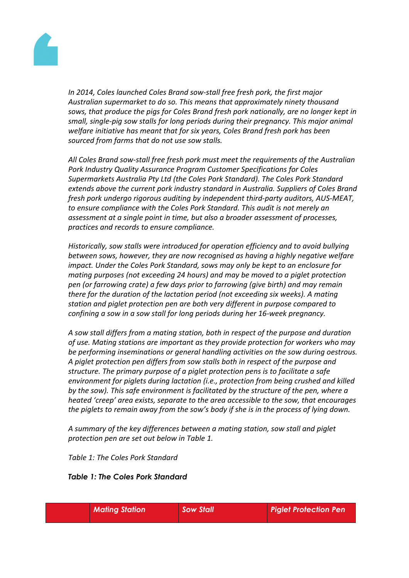

*In 2014, Coles launched Coles Brand sow-stall free fresh pork, the first major Australian supermarket to do so. This means that approximately ninety thousand sows, that produce the pigs for Coles Brand fresh pork nationally, are no longer kept in small, single-pig sow stalls for long periods during their pregnancy. This major animal welfare initiative has meant that for six years, Coles Brand fresh pork has been sourced from farms that do not use sow stalls.* 

*All Coles Brand sow-stall free fresh pork must meet the requirements of the Australian Pork Industry Quality Assurance Program Customer Specifications for Coles Supermarkets Australia Pty Ltd (the Coles Pork Standard). The Coles Pork Standard extends above the current pork industry standard in Australia. Suppliers of Coles Brand fresh pork undergo rigorous auditing by independent third-party auditors, AUS-MEAT, to ensure compliance with the Coles Pork Standard. This audit is not merely an assessment at a single point in time, but also a broader assessment of processes, practices and records to ensure compliance.*

*Historically, sow stalls were introduced for operation efficiency and to avoid bullying between sows, however, they are now recognised as having a highly negative welfare impact. Under the Coles Pork Standard, sows may only be kept to an enclosure for mating purposes (not exceeding 24 hours) and may be moved to a piglet protection pen (or farrowing crate) a few days prior to farrowing (give birth) and may remain there for the duration of the lactation period (not exceeding six weeks). A mating station and piglet protection pen are both very different in purpose compared to confining a sow in a sow stall for long periods during her 16-week pregnancy.*

*A sow stall differs from a mating station, both in respect of the purpose and duration of use. Mating stations are important as they provide protection for workers who may be performing inseminations or general handling activities on the sow during oestrous. A piglet protection pen differs from sow stalls both in respect of the purpose and structure. The primary purpose of a piglet protection pens is to facilitate a safe environment for piglets during lactation (i.e., protection from being crushed and killed by the sow). This safe environment is facilitated by the structure of the pen, where a heated 'creep' area exists, separate to the area accessible to the sow, that encourages the piglets to remain away from the sow's body if she is in the process of lying down.*

*A summary of the key differences between a mating station, sow stall and piglet protection pen are set out below in Table 1.*

*Table 1: The Coles Pork Standard*

## *Table 1: The Coles Pork Standard*

| <b>Mating Station</b> | <b>Sow Stall</b> | <b>Piglet Protection Pen</b> |
|-----------------------|------------------|------------------------------|
|-----------------------|------------------|------------------------------|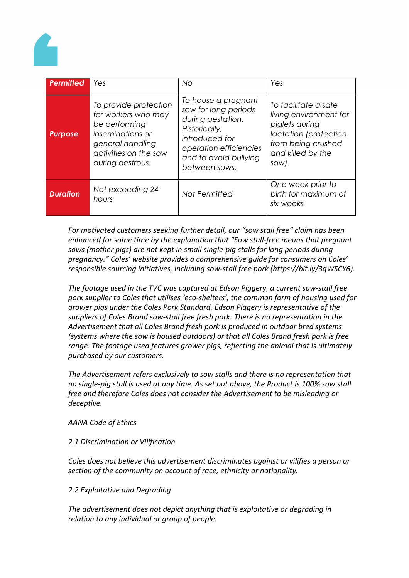

| <b>Permitted</b> | Yes                                                                                                                                                | No.                                                                                                                                                                     | Yes                                                                                                                                           |
|------------------|----------------------------------------------------------------------------------------------------------------------------------------------------|-------------------------------------------------------------------------------------------------------------------------------------------------------------------------|-----------------------------------------------------------------------------------------------------------------------------------------------|
| <b>Purpose</b>   | To provide protection<br>for workers who may<br>be performing<br>inseminations or<br>general handling<br>activities on the sow<br>during oestrous. | To house a pregnant<br>sow for long periods<br>during gestation.<br>Historically,<br>introduced for<br>operation efficiencies<br>and to avoid bullying<br>between sows. | To facilitate a safe<br>living environment for<br>piglets during<br>lactation (protection<br>from being crushed<br>and killed by the<br>sow). |
| <b>Duration</b>  | Not exceeding 24<br>hours                                                                                                                          | Not Permitted                                                                                                                                                           | One week prior to<br>birth for maximum of<br>six weeks                                                                                        |

*For motivated customers seeking further detail, our "sow stall free" claim has been enhanced for some time by the explanation that "Sow stall-free means that pregnant sows (mother pigs) are not kept in small single-pig stalls for long periods during pregnancy." Coles' website provides a comprehensive guide for consumers on Coles' responsible sourcing initiatives, including sow-stall free pork (https://bit.ly/3qWSCY6).*

*The footage used in the TVC was captured at Edson Piggery, a current sow-stall free pork supplier to Coles that utilises 'eco-shelters', the common form of housing used for grower pigs under the Coles Pork Standard. Edson Piggery is representative of the suppliers of Coles Brand sow-stall free fresh pork. There is no representation in the Advertisement that all Coles Brand fresh pork is produced in outdoor bred systems (systems where the sow is housed outdoors) or that all Coles Brand fresh pork is free range. The footage used features grower pigs, reflecting the animal that is ultimately purchased by our customers.*

*The Advertisement refers exclusively to sow stalls and there is no representation that no single-pig stall is used at any time. As set out above, the Product is 100% sow stall free and therefore Coles does not consider the Advertisement to be misleading or deceptive.*

*AANA Code of Ethics*

*2.1 Discrimination or Vilification*

*Coles does not believe this advertisement discriminates against or vilifies a person or section of the community on account of race, ethnicity or nationality.*

*2.2 Exploitative and Degrading*

*The advertisement does not depict anything that is exploitative or degrading in relation to any individual or group of people.*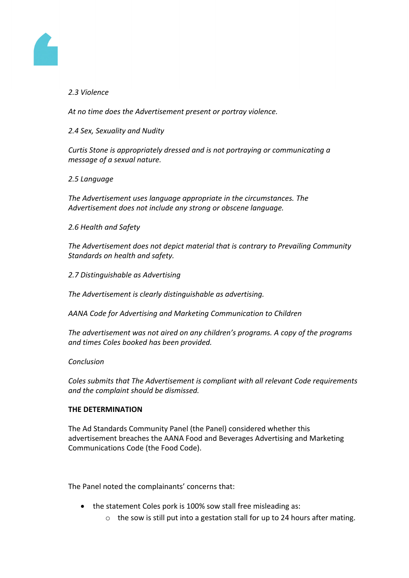

# *2.3 Violence*

*At no time does the Advertisement present or portray violence.*

*2.4 Sex, Sexuality and Nudity*

*Curtis Stone is appropriately dressed and is not portraying or communicating a message of a sexual nature.*

# *2.5 Language*

*The Advertisement uses language appropriate in the circumstances. The Advertisement does not include any strong or obscene language.*

*2.6 Health and Safety*

*The Advertisement does not depict material that is contrary to Prevailing Community Standards on health and safety.*

*2.7 Distinguishable as Advertising*

*The Advertisement is clearly distinguishable as advertising.*

*AANA Code for Advertising and Marketing Communication to Children*

*The advertisement was not aired on any children's programs. A copy of the programs and times Coles booked has been provided.*

## *Conclusion*

*Coles submits that The Advertisement is compliant with all relevant Code requirements and the complaint should be dismissed.*

# **THE DETERMINATION**

The Ad Standards Community Panel (the Panel) considered whether this advertisement breaches the AANA Food and Beverages Advertising and Marketing Communications Code (the Food Code).

The Panel noted the complainants' concerns that:

- the statement Coles pork is 100% sow stall free misleading as:
	- o the sow is still put into a gestation stall for up to 24 hours after mating.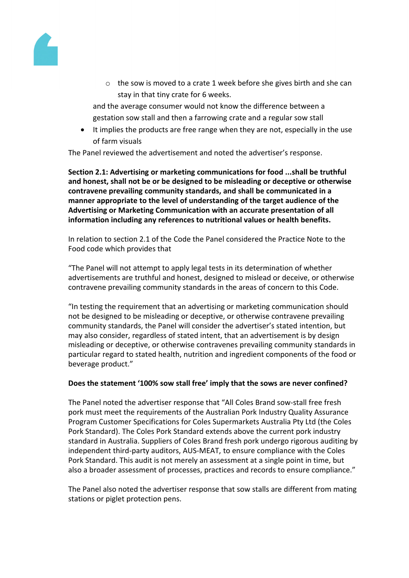

o the sow is moved to a crate 1 week before she gives birth and she can stay in that tiny crate for 6 weeks.

and the average consumer would not know the difference between a gestation sow stall and then a farrowing crate and a regular sow stall

• It implies the products are free range when they are not, especially in the use of farm visuals

The Panel reviewed the advertisement and noted the advertiser's response.

**Section 2.1: Advertising or marketing communications for food ...shall be truthful and honest, shall not be or be designed to be misleading or deceptive or otherwise contravene prevailing community standards, and shall be communicated in a manner appropriate to the level of understanding of the target audience of the Advertising or Marketing Communication with an accurate presentation of all information including any references to nutritional values or health benefits.**

In relation to section 2.1 of the Code the Panel considered the Practice Note to the Food code which provides that

"The Panel will not attempt to apply legal tests in its determination of whether advertisements are truthful and honest, designed to mislead or deceive, or otherwise contravene prevailing community standards in the areas of concern to this Code.

"In testing the requirement that an advertising or marketing communication should not be designed to be misleading or deceptive, or otherwise contravene prevailing community standards, the Panel will consider the advertiser's stated intention, but may also consider, regardless of stated intent, that an advertisement is by design misleading or deceptive, or otherwise contravenes prevailing community standards in particular regard to stated health, nutrition and ingredient components of the food or beverage product."

## **Does the statement '100% sow stall free' imply that the sows are never confined?**

The Panel noted the advertiser response that "All Coles Brand sow-stall free fresh pork must meet the requirements of the Australian Pork Industry Quality Assurance Program Customer Specifications for Coles Supermarkets Australia Pty Ltd (the Coles Pork Standard). The Coles Pork Standard extends above the current pork industry standard in Australia. Suppliers of Coles Brand fresh pork undergo rigorous auditing by independent third-party auditors, AUS-MEAT, to ensure compliance with the Coles Pork Standard. This audit is not merely an assessment at a single point in time, but also a broader assessment of processes, practices and records to ensure compliance."

The Panel also noted the advertiser response that sow stalls are different from mating stations or piglet protection pens.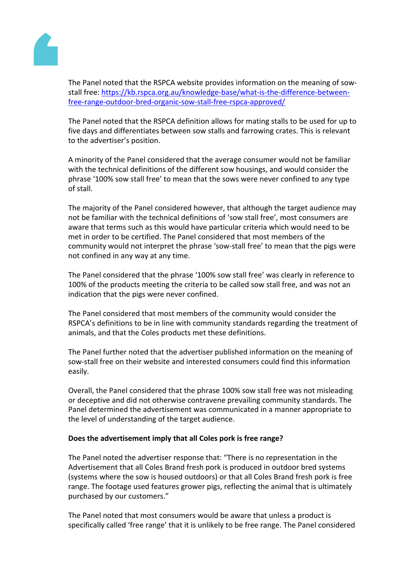ThePanel noted that theRSPCA website provides information on the aning of sowstall free: [https://kb.rspca.org.au/knowledge-base/what-is-the-difference-betwe](https://kb.rspca.org.au/knowledge-base/what-is-the-difference-between-free-range-outdoor-bred-organic-sow-stall-free-rspca-approved/)en[free-range-outdoor-bred-organic-sow-stall-free-rspca-approv](https://kb.rspca.org.au/knowledge-base/what-is-the-difference-between-free-range-outdoor-bred-organic-sow-stall-free-rspca-approved/)ed/

ThePanel noted that theRSPCA definition allows for matistallsto be used for up to five daysand differentiatesbetweensow stalls and arrowing crates. This relevant to the advertiser'sposition.

A minority of the Panel considere that the average consume would not be familiar with the technicaldefinitions of the different sow housing and would considerthe phrase'100% sowstall free' tomeanthat the sows were neverconfined to anytype of stall.

Themajority of the Panebonsidered however, that although thetarget audience may not be familiar withthe technical definitions of sow stall free', mostonsumersare aware that termssuch as thiswould haveparticular criteriawhichwouldneed to be met in orderto be certified. The Panel consider that most members of the community would not interpret the phrase 'sow-stafree' to mean that the pigs were not confined inany wayat anytime.

ThePanel considered that the phrase '100% sow stall freeds clearly in referenceto 100%of the productsmeetingthe criteria tobecalledsow stallfree, and was notan indicationthat the pigs were never confined.

ThePanel considered that most members the community would consider the RSPCA's definitions bee in line with communit standards regarding the treatment of animals, and that the Coles products and these definitions.

ThePanel further notedhat the advertiser published information othe meaning of sow-stall freeon their website andinterestedconsumerscouldfind this information easily.

Overall, the Panel considered that the phrase 9% ow stallfree wasnot misleading or deceptive and didnot otherwise contravene prevailing community and ards. The Paneldeterminedthe advertisement wasommunicatedn amanner appropriateo the level ofunderstanding ofthe target audience.

Does theadvertisement implythat all Coles pork is ree range?

ThePanel noted theadvertiser response that: "Theino representationin the Advertisement that alColes Brandreshpork is produced in outdoor bredsystems (systemswherethe sowis housed outdoors) othat allColesBrandfresh pork isfree range. The footage used features growerpigs, reflecting the animal that is ultimately purchased byour customers."

ThePanel noted that most consume would be aware that unless a product is specifically called 'freeange' that itisunlikely to be free range.ThePanel considered